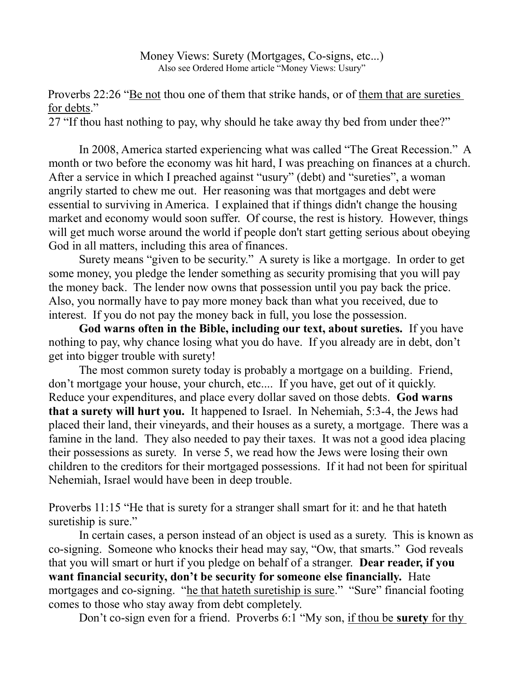Money Views: Surety (Mortgages, Co-signs, etc...) Also see Ordered Home article "Money Views: Usury"

Proverbs 22:26 "Be not thou one of them that strike hands, or of them that are sureties for debts."

27 "If thou hast nothing to pay, why should he take away thy bed from under thee?"

In 2008, America started experiencing what was called "The Great Recession." A month or two before the economy was hit hard, I was preaching on finances at a church. After a service in which I preached against "usury" (debt) and "sureties", a woman angrily started to chew me out. Her reasoning was that mortgages and debt were essential to surviving in America. I explained that if things didn't change the housing market and economy would soon suffer. Of course, the rest is history. However, things will get much worse around the world if people don't start getting serious about obeying God in all matters, including this area of finances.

Surety means "given to be security." A surety is like a mortgage. In order to get some money, you pledge the lender something as security promising that you will pay the money back. The lender now owns that possession until you pay back the price. Also, you normally have to pay more money back than what you received, due to interest. If you do not pay the money back in full, you lose the possession.

God warns often in the Bible, including our text, about sureties. If you have nothing to pay, why chance losing what you do have. If you already are in debt, don't get into bigger trouble with surety!

The most common surety today is probably a mortgage on a building. Friend, don't mortgage your house, your church, etc.... If you have, get out of it quickly. Reduce your expenditures, and place every dollar saved on those debts. God warns that a surety will hurt you. It happened to Israel. In Nehemiah, 5:3-4, the Jews had placed their land, their vineyards, and their houses as a surety, a mortgage. There was a famine in the land. They also needed to pay their taxes. It was not a good idea placing their possessions as surety. In verse 5, we read how the Jews were losing their own children to the creditors for their mortgaged possessions. If it had not been for spiritual Nehemiah, Israel would have been in deep trouble.

Proverbs 11:15 "He that is surety for a stranger shall smart for it: and he that hateth suretiship is sure."

In certain cases, a person instead of an object is used as a surety. This is known as co-signing. Someone who knocks their head may say, "Ow, that smarts." God reveals that you will smart or hurt if you pledge on behalf of a stranger. **Dear reader, if you** want financial security, don't be security for someone else financially. Hate mortgages and co-signing. "he that hateth suretiship is sure." "Sure" financial footing comes to those who stay away from debt completely.

Don't co-sign even for a friend. Proverbs 6:1 "My son, if thou be surety for thy